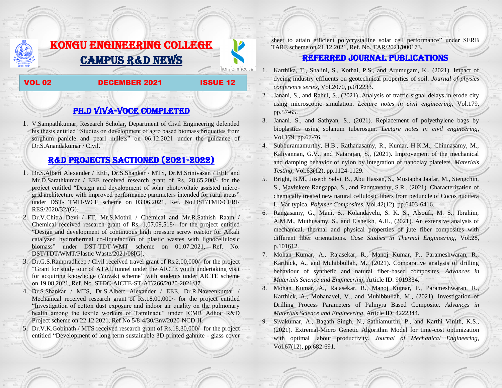# KONGU ENGINEERING COLLEGE CAMPUS R&D NEWS

#### VOL 02 DECEMBER 2021 ISSUE 12

**Transform Yourself** 

# PH.D VIVA-VOCE COMPLETED

1. V.Sampathkumar, Research Scholar, Department of Civil Engineering defended his thesis entitled "Studies on development of agro based biomass briquettes from sorghum panicle and pearl millets" on 06.12.2021 under the guidance of Dr.S.Anandakumar / Civil.

## R&D PROJECTS SACTIONED (2021-2022)

- 1. Dr.S.Albert Alexander / EEE, Dr.S.Shankar / MTS, Dr.M.Srinivasan / EEE and Mr.D.Sarathkumar / EEE received research grant of Rs. 28,65,200/- for the project entitled "Design and development of solar photovoltaic assisted microgrid architecture with improved performance parameters intended for rural areas" under DST- TMD-WCE scheme on 03.06.2021, Ref. No.DST/TMD/CERI/ RES/2020/32/(G).
- 2. Dr.V.Chitra Devi / FT, Mr.S.Mothil / Chemical and Mr.R.Sathish Raam / Chemical received research grant of Rs. 1,07,09,518/- for the project entitled "Design and development of continuous high pressure screw reactor for Alkali catalyzed hydrothermal co-liquefaction of plastic wastes with lignocellulosic biomass" under DST-TDT-WMT scheme on 01.07.2021, Ref. No. DST/TDT/WMT/Plastic Waste/2021/08[G].
- 3. Dr.G.S.Rampradheep / Civil received travel grant of Rs.2,00,000/- for the project "Grant for study tour of ATAL tunnel under the AICTE youth undertaking visit for acquiring knowledge (Yuvak) scheme" with students under AICTE scheme on 19.08.2021, Ref. No. STDC-AICTE-ST-AT/266/2020-2021/37.
- 4. Dr.S.Shankar / MTS, Dr.S.Albert Alexander / EEE, Dr.R.Naveenkumar / Mechanical received research grant of Rs.18,00,000/- for the project entitled "Investigation of cotton dust exposure and indoor air quality on the pulmonary health among the textile workers of Tamilnadu" under ICMR Adhoc R&D Project scheme on 22.12.2021, Ref No 5/8-4/30/Env/2020-NCD-II.
- 5. Dr.V.K.Gobinath / MTS received research grant of Rs.18,30,000/- for the project entitled "Development of long term sustainable 3D printed gahnite - glass cover

sheet to attain efficient polycrystalline solar cell performance" under SERB TARE scheme on 21.12.2021, Ref. No. TAR/2021/000173.

### Referred JOURNAL publications

- 1. Karthika, T., Shalini, S., Kothai, P.S., and Arumugam, K., (2021). Impact of dyeing industry effluents on geotechnical properties of soil. *Journal of physics conference series*, Vol.2070, p.012233.
- 2. Janani, S., and Rahul, S., (2021). Analysis of traffic signal delays in erode city using microscopic simulation. *Lecture notes in civil engineering*, Vol.179, pp.57-65.
- 3. Janani. S., and Sathyan, S., (2021). Replacement of polyethylene bags by bioplastics using solanum tuberosum. *Lecture notes in civil engineering*, Vol.179, pp.67-76.
- 4. Subburamamurthy, H.B., Rathanasamy, R., Kumar, H.K.M., Chinnasamy, M., Kaliyannan, G.V., and Natarajan, S., (2021). Improvement of the mechanical and damping behavior of nylon by integration of nanoclay platelets. *Materials Testing*, Vol.63(12), pp.1124-1129.
- 5. Bright, B.M., Joseph Selvi, B., Abu Hassan, S., Mustapha Jaafar, M., Siengchin, S., Mavinkere Rangappa, S., and Padmavathy, S.R., (2021). Characterization of chemically treated new natural cellulosic fibers from peduncle of Cocos nucifera L. Var typica. *Polymer Composites*, Vol.42(12), pp.6403-6416.
- 6. Rangasamy, G., Mani, S., Kolandavelu, S. K. S., Alsoufi, M. S., Ibrahim, A.M.M., Muthusamy, S., and Elsheikh, A.H., (2021). An extensive analysis of mechanical, thermal and physical properties of jute fiber composites with different fiber orientations. *Case Studies in Thermal Engineering*, Vol.28, p.101612.
- 7. Mohan Kumar, A., Rajasekar, R., Manoj Kumar, P., Parameshwaran, R., Karthick, A., and Muhibbullah, M., (2021). Comparative analysis of drilling behaviour of synthetic and natural fiber-based composites. *Advances in Materials Science and Engineering*, Article ID: 9019334.
- 8. Mohan Kumar, A., Rajasekar, R., Manoj Kumar, P., Parameshwaran, R., Karthick, A., Mohanavel, V., and Muhibbullah, M., (2021). Investigation of Drilling Process Parameters of Palmyra Based Composite. *Advances in Materials Science and Engineering*, Article ID: 4222344.
- 9. Sivakumar, A., Bagath Singh, N., Sathiamurthi, P., and Karthi Vinith, K.S., (2021). Extremal-Micro Genetic Algorithm Model for time-cost optimization with optimal labour productivity. *Journal of Mechanical Engineering*, Vol.67(12), pp.682-691.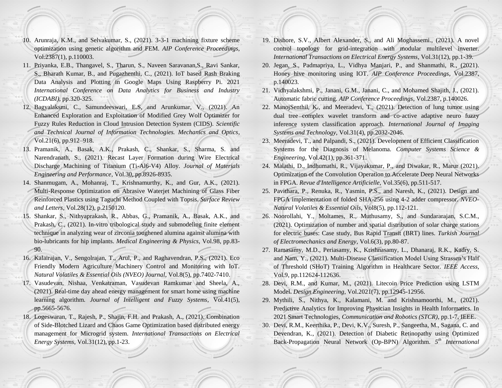- 10. Arunraja, K.M., and Selvakumar, S., (2021). 3-3-1 machining fixture scheme optimization using genetic algorithm and FEM. *AIP Conference Proceedings*, Vol.2387(1), p.110003.
- 11. Priyanka, E.B., Thangavel, S., Tharun, S., Naveen Saravanan,S., Ravi Sankar, S., Bharath Kumar, B., and Pugazhenthi, C., (2021). IoT based Rash Braking Data Analysis and Plotting in Google Maps Using Raspberry Pi. 2021 *International Conference on Data Analytics for Business and Industry (ICDABI)*, pp.320-325.
- 12. Bagyalaksmi, C., Samundeeswari, E.S, and Arunkumar, V., (2021). An Enhanced Exploration and Exploitation of Modified Grey Wolf Optimizer for Fuzzy Rules Reduction in Cloud Intrusion Detection System (CIDS). *Scientific and Technical Journal of Information Technologies. Mechanics and Optics*, Vol.21(6), pp.912–918.
- 13. Pramanik, A., Basak, A.K., Prakash, C., Shankar, S., Sharma, S. and Narendranath, S., (2021). Recast Layer Formation during Wire Electrical Discharge Machining of Titanium (Ti-Al6-V4) Alloy. *Journal of Materials Engineering and Performance*, Vol.30, pp.8926-8935.
- 14. Shanmugam, A., Mohanraj, T., Krishnamurthy, K., and Gur, A.K., (2021). Multi-Response Optimization on Abrasive Waterjet Machining of Glass Fiber Reinforced Plastics using Taguchi Method Coupled with Topsis. *Surface Review and Letters*, Vol.28(12), p.2150120.
- 15. Shankar, S., Nithyaprakash, R., Abbas, G., Pramanik, A., Basak, A.K., and Prakash, C., (2021). In-vitro tribological study and submodeling finite element technique in analyzing wear of zirconia toughened alumina against alumina with bio-lubricants for hip implants. *Medical Engineering & Physics*, Vol.98, pp.83- 90.
- 16. Kalairajan, V., Sengolrajan, T., Arul, P., and Raghavendran, P.S., (2021). Eco Friendly Modern Agriculture Machinery Control and Monitoring with IoT. *Natural Volatiles & Essential Oils (NVEO) Journal*, Vol.8(5), pp.7402-7410.
- 17. Vasudevan, Nishaa, Venkatraman, Vasudevan Ramkumar and Sheela, A., (2021). Real-time day ahead energy management for smart home using machine learning algorithm. *Journal of Intelligent and Fuzzy Systems*, Vol.41(5), pp.5665-5676.
- 18. Logeswaran, T., Rajesh, P., Shajin, F.H. and Prakash, A., (2021). Combination of Side-Blotched Lizard and Chaos Game Optimization based distributed energy management for Microgrid system. *International Transactions on Electrical Energy Systems*, Vol.31(12), pp.1-23.
- 19. Dishore, S.V., Albert Alexander, S., and Ali Moghassemi., (2021). A novel control topology for grid-integration with modular multilevel inverter. *International Transactions on Electrical Energy Systems*, Vol.31(12), pp.1-39.
- 20. Jegan, S., Padmapriya, L., Vidhya Manjari, P., and Shanmathi, R., (2021). Honey hive monitoring using IOT. *AIP Conference Proceedings*, Vol.2387, p.140023.
- 21. Vidhyalakshmi, P., Janani, G.M., Janani, C., and Mohamed Shajith, J., (2021). Automatic fabric cutting. *AIP Conference Proceedings*, Vol.2387, p.140026.
- 22. ManojSenthil, K., and Meeradevi, T., (2021). Detection of lung tumor using dual tree complex wavelet transform and co‐active adaptive neuro fuzzy inference system classification approach. *International Journal of Imaging Systems and Technology*, Vol.31(4), pp.2032-2046.
- 23. Meeradevi, T., and Palpandi, S., (2021). Development of Efficient Classification Systems for the Diagnosis of Melanoma. *Computer Systems Science & Engineering*, Vol.42(1), pp.361-371.
- 24. Malathi, D., Indhumathi, R., Vijayakumar, P., and Diwakar, R., Marur (2021). Optimization of the Convolution Operation to Accelerate Deep Neural Networks in FPGA. *Revue d'Intelligence Artificielle*, Vol.35(6), pp.511-517.
- 25. Pavithara, P., Renuka, R., Yasmin, P.S., and Naresh, K., (2021). Design and FPGA implementation of folded SHA-256 using 4-2 adder compressor. *NVEO-Natural Volatiles & Essential Oils*, Vol8(5), pp.112-121.
- 26. Noorollahi, Y., Moltames, R., Muthusamy, S., and Sundararajan, S.C.M., (2021). Optimization of number and spatial distribution of solar charge stations for electric buses: Case study, Bus Rapid Transit (BRT) lines. *Turkish Journal of Electromechanics and Energy*, Vol.6(3), pp.80-87.
- 27. Ramasamy, M.D., Periasamy, K., Krishnasamy, L., Dhanaraj, R.K., Kadry, S. and Nam, Y., (2021). Multi-Disease Classification Model Using Strassen's Half of Threshold (SHoT) Training Algorithm in Healthcare Sector. *IEEE Access*, Vol.9, pp.112624-112636.
- 28. Devi, R.M., and Kumar, M., (2021). Litecoin Price Prediction using LSTM Model. *Design Engineering*, Vol.2021(7), pp.12945-12956.
- 29. Mythili, S., Nithya, K., Kalamani, M. and Krishnamoorthi, M., (2021). Predictive Analytics for Improving Physician Insights in Health Informatics. In 2021 Smart Technologies, *Communication and Robotics (STCR)*, pp.1-7, IEEE.
- 30. Devi, R.M., Keerthika, P., Devi, K.V., Suresh, P., Sangeetha, M., Sagana, C. and Devendran, K., (2021). Detection of Diabetic Retinopathy using Optimized Back-Propagation Neural Network (Op-BPN) Algorithm. *5 th International*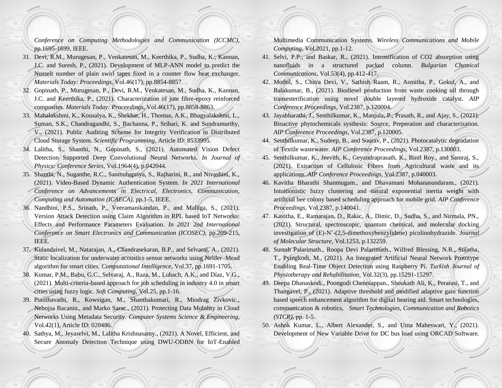*Conference on Computing Methodologies and Communication (ICCMC)*, pp.1695-1699, IEEE.

- 31. Devi, R.M., Murugesan, P., Venkatesan, M., Keerthika, P., Sudha, K., Kannan, J.C. and Suresh, P., (2021). Development of MLP-ANN model to predict the Nusselt number of plain swirl tapes fixed in a counter flow heat exchanger. *Materials Today: Proceedings*, Vol.46(17), pp.8854-8857.
- 32. Gopinath, P., Murugesan, P., Devi, R.M., Venkatesan, M., Sudha, K., Kannan, J.C. and Keerthika, P., (2021). Characterization of jute fibre-epoxy reinforced composites. *Materials Today: Proceedings*, Vol.46(17), pp.8858-8863.
- 33. Mahalakshmi, K., Kousalya, K., Shekhar, H., Thomas, A.K., Bhagyalakshmi, L., Suman, S.K., Chandragandhi, S., Bachanna, P., Srihari, K. and Sundramurthy, V., (2021). Public Auditing Scheme for Integrity Verification in Distributed Cloud Storage System. *Scientific Programming*, Article ID: 8533995.
- 34. Lalitha, S., Shanthi, N., Gopinath, S., (2021). Automated Vision Defect Detection Supported Deep Convolutional Neural Networks. *In Journal of Physics: Conference Series*, Vol.1964(4), p.042044.
- 35. Shanthi, N., Suganthe, R.C., Sanmuhapriya, S., Rajharini, R., and Nivashini, K., (2021). Video-Based Dynamic Authentication System. *In 2021 International Conference on Advancements in Electrical, Electronics, Communication, Computing and Automation (ICAECA)*, pp.1-5, IEEE.
- 36. Nandhini, P.S., Srinath, P., Veeramanikandan, P., and Malliga, S., (2021). Version Attack Detection using Claim Algorithm in RPL based IoT Networks: Effects and Performance Parameters Evaluation. *In 2021 2nd International Conference on Smart Electronics and Communication (ICOSEC)*, pp.209-215, IEEE.
- 37. Kulandaivel, M., Natarajan, A., Chandrasekaran, B.P., and Selvaraj, A., (2021). Static localization for underwater acoustics sensor networks using Nelder–Mead algorithm for smart cities. *Computational Intelligence*, Vol.37, pp.1691-1705.
- 38. Kumar, P.M., Babu, G.C., Selvaraj, A., Raza, M., Luhach, A.K., and Díaz, V.G., (2021). Multi-criteria-based approach for job scheduling in industry 4.0 in smart cities using fuzzy logic. *Soft Computing*, Vol.25, pp.1-16.
- 39. Punithavathi, R., Kowsigan, M., Shanthakumari, R., Miodrag Zivkovic., Nebojsa Bacanin., and Marko Sarac., (2021). Protecting Data Mobility in Cloud Networks Using Metadata Security. *Computer Systems Science & Engineering*, Vol.42(1), Article ID: 020486.
- 40. Sathya, M., Jeyaselvi, M., Lalitha Krishnasamy., (2021). A Novel, Efficient, and Secure Anomaly Detection Technique using DWU-ODBN for IoT-Enabled

Multimedia Communication Systems. *Wireless Communications and Mobile Computing*, Vol.2021, pp.1-12.

- 41. Selvi, P.P., and Baskar, R., (2021). Intensification of CO2 absorption using nanofluids in a structured packed column. *Bulgarian Chemical Communications*, Vol.53(4), pp.412-417.
- 42. Mothil, S., Chitra Devi, V., Sathish Raam, R., Asmitha, P., Gokul, A., and Balakumar, B., (2021). Biodiesel production from waste cooking oil through transesterification using novel double layered hydroxide catalyst. *AIP Conference Proceedings*, Vol.2387, p.120004.
- 43. Jayabharathi, J., Senthilkumar, K., Manjula, P., Prasath, R., and Ajay, S., (2021). Bioactive phytochemicals systhesis: Source, Preperation and characterization. *AIP Conference Proceedings*, Vol.2387, p.120005.
- 44. Senthilkumar, K., Sudeep, B., and Sourav, P., (2021). Photocatalytic degradation of Textile wastewater. *AIP Conference Proceedings*, Vol.2387, p.130003.
- 45. Senthilkumar, K., Jeevith, K., Geyandraprasath, K., Binil Roy., and Samraj, S., (2021). Extraction of Cellulosic Fibres from Agricultural waste and its applications. *AIP Conference Proceedings*, Vol.2387, p.040003.
- 46. Kavitha Bharathi Shanmugam., and Dhavamani Mohanasundaram., (2021). Intuitionistic fuzzy clustering and natural exponential inertia weight with artificial bee colony based scheduling approach for mobile grid. *AIP Conference Proceedings*, Vol.2387, p.140041.
- 47. Kavitha, E., Ramarajan, D., Rakic, A., Dimic, D., Sudha, S., and Nirmala, PN., (2021). Structural, spectroscopic, quantum chemical, and molecular docking investigation of (E)-N'-(2,5-dimethoxybenzylidene) picolinohydrazide. *Journal of Molecular Structure*, Vol.1253, p.132259.
- 48. Suresh Palarimath., Roopa Devi Palarimath., Wilfred Blessing, N.R., Sujatha, T., Pyingkodi, M., (2021). An Integrated Artificial Neural Network Prototype Enabling Real-Time Object Detection using Raspberry Pi. *Turkish Journal of Physiotherapy and Rehabilitation*, Vol.32(3), pp.15291-15297.
- 49. Deepa Dhanaskodi., Poongodi Chenniappan., Shoukath Ali, K., Perarasi, T., and Thangavel, P., (2021). Adaptive threshold and modified adaptive gain function based speech enhancement algorithm for digital hearing aid. Smart technologies, communication & robotics, *Smart Technologies, Communication and Robotics (STCR)*, pp. 1-5.
- 50. Ashok Kumar, L., Albert Alexander, S., and Uma Maheswari, Y., (2021). Development of New Variable Drive for DC bus load using ORCAD Software.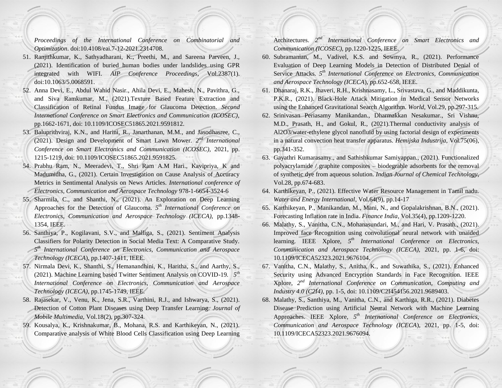*Proceedings of the International Conference on Combinatorial and Optimization*. doi:10.4108/eai.7-12-2021.2314708.

- 51. Ranjithkumar, K., Sathyadharani, K., Preethi, M., and Sareena Parveen, J., (2021). Identification of buried human bodies under landslides using GPR integrated with WIFI. *AIP Conference Proceedings*, Vol.2387(1). doi:10.1063/5.0068591.
- 52. Anna Devi, E., Abdul Wahid Nasir., Ahila Devi, E., Mahesh, N., Pavithra, G., and Siva Ramkumar, M., (2021).Texture Based Feature Extraction and Classification of Retinal Fundus Image for Glaucoma Detection. *Second International Conference on Smart Electronics and Communication (ICOSEC),* pp.1662-1671, doi: 10.1109/ICOSEC51865.2021.9591812.
- 53. Baluprithviraj, K.N., and Harini, R., Janarthanan, M.M., and Jasodhasree, C., (2021). Design and Development of Smart Lawn Mower. *2 nd International Conference on Smart Electronics and Communication (ICOSEC),* 2021, pp. 1215-1219, doi: 10.1109/ICOSEC51865.2021.9591825.
- 54. Prabhu Ram, N., Meeradevi, T., Shri Ram A.M Hari., Kavipriya, K and Madumidha, G., (2021). Certain Investigation on Cause Analysis of Accuracy Metrics in Sentimental Analysis on News Articles. *International conference of Electronics, Communication and Aerospace Technology* 978-1-6654-3524-6
- 55. Sharmila, C., and Shanthi, N., (2021). An Exploration on Deep Learning Approaches for the Detection of Glaucoma. *5 th International Conference on Electronics, Communication and Aerospace Technology (ICECA),* pp.1348- 1354, IEEE.
- 56. Santhiya, P., Kogilavani, S.V., and Malliga, S., (2021). Sentiment Analysis Classifiers for Polarity Detection in Social Media Text: A Comparative Study. *5 th International Conference on Electronics, Communication and Aerospace Technology (ICECA*), pp.1407-1411, IEEE.
- 57. Nirmala Devi, K., Shanthi, S., Hemanandhini, K., Haritha, S., and Aarthy, S., (2021). Machine Learning based Twitter Sentiment Analysis on COVID-19*. 5th International Conference on Electronics, Communication and Aerospace Technology (ICECA)*, pp.1745-1749, IEEE.
- 58. Rajasekar, V., Venu, K., Jena, S.R., Varthini, R.J., and Ishwarya, S., (2021). Detection of Cotton Plant Diseases using Deep Transfer Learning. *Journal of Mobile Multimedia,* Vol.18(2), pp.307-324.
- 59. Kousalya, K., Krishnakumar, B., Mohana, R.S. and Karthikeyan, N., (2021). Comparative analysis of White Blood Cells Classification using Deep Learning

Architectures. 2<sup>nd</sup> International Conference on Smart Electronics and *Communication (ICOSEC),* pp.1220-1225, IEEE.

- 60. Subramanian, M., Vadivel, K.S. and Sowmya, R., (2021). Performance Evaluation of Deep Learning Models in Detection of Distributed Denial of Service Attacks. *5 th International Conference on Electronics, Communication and Aerospace Technology (ICECA*), pp.652-658, IEEE.
- 61. Dhanaraj, R.K., Jhaveri, R.H., Krishnasamy, L., Srivastava, G., and Maddikunta, P.K.R., (2021). Black-Hole Attack Mitigation in Medical Sensor Networks using the Enhanced Gravitational Search Algorithm. *World*, Vol.29, pp.297-315.
- 62. Srinivasan Periasamy Manikandan., Dharmakkan Nesakumar., Sri Vishnu, M.D., Prasath, H., and Gokul, R., (2021).Thermal conductivity analysis of Al2O3/water-ethylene glycol nanofluid by using factorial design of experiments in a natural convection heat transfer apparatus. *Hemijska Industrija*, Vol.75(06), pp.341-352.
- 63. Gayathri Kumarasamy., and Sathishkumar Samiyappan., (2021). Functionalized polyacrylamide / graphite composites – biodegrable adsorbents for the removal of synthetic dye from aqueous solution. *Indian Journal of Chemical Technology*, Vol.28, pp.674-683.
- 64. Karthikeyan, P., (2021). Effective Water Resource Management in Tamil nadu. *Water and Energy International*, Vol.64(9), pp.14-17
- 65. Karthikeyan, P., Manikandan, M., Mani, N., and Gopalakrishnan, B.N., (2021). Forecasting Inflation rate in India. *Finance India*, Vol.35(4), pp.1209-1220.
- 66. Malathy, S., Vanitha, C.N., Mohanasundari, M., and Hari, V. Prasath., (2021). Improved face Recognition using convolutional neural network with unaided learning. IEEE Xplore, 5<sup>th</sup> International Conference on Electronics, *Communication and Aerospace Technology (ICECA),* 2021, pp. 1-6, doi: 10.1109/ICECA52323.2021.9676104.
- 67. Vanitha, C.N., Malathy, S., Anitha, K., and Suwathika, S., (2021). Enhanced Security using Advanced Encryption Standards in Face Recognition. IEEE Xplore, *2 nd International Conference on Communication, Computing and Industry 4.0 (C2I4),* pp. 1-5, doi: 10.1109/C2I454156.2021.9689403.
- 68. Malathy, S., Santhiya, M., Vanitha, C.N., and Karthiga, R.R., (2021). Diabetes Disease Prediction using Artificial Neural Network with Machine Learning Approaches. IEEE Xplore,  $5<sup>th</sup>$  *International Conference on Electronics*, *Communication and Aerospace Technology (ICECA*), 2021, pp. 1-5, doi: 10.1109/ICECA52323.2021.9676094.